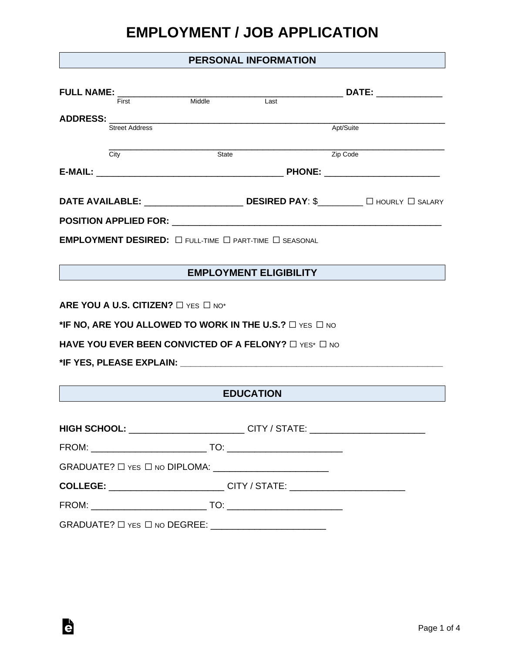### **PERSONAL INFORMATION**

| FULL NAME: $\frac{1}{\frac{1}{2} + \frac{1}{2} + \frac{1}{2}}$ Middle |       |                                                                                       |                                                                                  |
|-----------------------------------------------------------------------|-------|---------------------------------------------------------------------------------------|----------------------------------------------------------------------------------|
|                                                                       |       | $\overline{\mathsf{Last}}$                                                            |                                                                                  |
| <b>Street Address</b>                                                 |       |                                                                                       | Apt/Suite                                                                        |
|                                                                       |       |                                                                                       |                                                                                  |
| City                                                                  | State |                                                                                       | Zip Code                                                                         |
|                                                                       |       |                                                                                       |                                                                                  |
|                                                                       |       |                                                                                       |                                                                                  |
|                                                                       |       |                                                                                       |                                                                                  |
|                                                                       |       | EMPLOYMENT DESIRED: $\Box$ full-time $\Box$ part-time $\Box$ seasonal                 |                                                                                  |
|                                                                       |       |                                                                                       |                                                                                  |
|                                                                       |       | EMPLOYMENT ELIGIBILITY                                                                |                                                                                  |
|                                                                       |       |                                                                                       |                                                                                  |
| ARE YOU A U.S. CITIZEN? $\square$ YES $\square$ NO*                   |       |                                                                                       |                                                                                  |
|                                                                       |       | *IF NO, ARE YOU ALLOWED TO WORK IN THE U.S.? $\Box$ YES $\Box$ NO                     |                                                                                  |
|                                                                       |       | HAVE YOU EVER BEEN CONVICTED OF A FELONY? $\Box$ YES* $\Box$ NO                       |                                                                                  |
|                                                                       |       |                                                                                       |                                                                                  |
|                                                                       |       |                                                                                       |                                                                                  |
|                                                                       |       | <b>EDUCATION</b>                                                                      |                                                                                  |
|                                                                       |       |                                                                                       |                                                                                  |
|                                                                       |       |                                                                                       | HIGH SCHOOL: __________________________CITY / STATE: ___________________________ |
|                                                                       |       |                                                                                       |                                                                                  |
|                                                                       |       |                                                                                       |                                                                                  |
|                                                                       |       | <b>COLLEGE:</b> ___________________________CITY / STATE: ____________________________ |                                                                                  |
|                                                                       |       |                                                                                       |                                                                                  |
|                                                                       |       | GRADUATE? □ YES □ NO DEGREE: ___________________________                              |                                                                                  |
|                                                                       |       |                                                                                       |                                                                                  |

è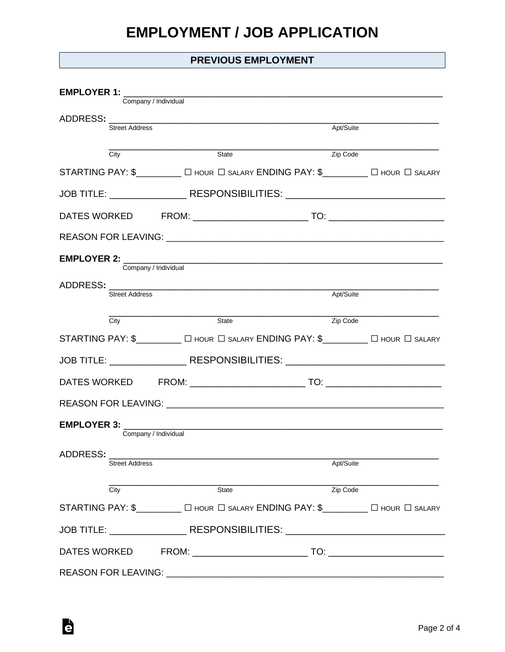### **PREVIOUS EMPLOYMENT**

| <b>EMPLOYER 1:</b><br>Company / Individual |                                                                                   |           |  |  |  |  |
|--------------------------------------------|-----------------------------------------------------------------------------------|-----------|--|--|--|--|
|                                            |                                                                                   |           |  |  |  |  |
| Street Address                             |                                                                                   | Apt/Suite |  |  |  |  |
| City                                       | $\overline{\text{State}}$                                                         | Zip Code  |  |  |  |  |
|                                            | STARTING PAY: \$_________ O HOUR O SALARY ENDING PAY: \$________ O HOUR O SALARY  |           |  |  |  |  |
|                                            | JOB TITLE: _____________________RESPONSIBILITIES: ______________________________  |           |  |  |  |  |
|                                            |                                                                                   |           |  |  |  |  |
|                                            |                                                                                   |           |  |  |  |  |
|                                            |                                                                                   |           |  |  |  |  |
|                                            | Company / Individual                                                              |           |  |  |  |  |
| <b>Street Address</b>                      |                                                                                   | Apt/Suite |  |  |  |  |
| City                                       | State                                                                             | Zip Code  |  |  |  |  |
|                                            | STARTING PAY: \$_________ O HOUR O SALARY ENDING PAY: \$________ O HOUR O SALARY  |           |  |  |  |  |
|                                            | JOB TITLE: ________________________RESPONSIBILITIES: ____________________________ |           |  |  |  |  |
|                                            |                                                                                   |           |  |  |  |  |
|                                            |                                                                                   |           |  |  |  |  |
|                                            |                                                                                   |           |  |  |  |  |
|                                            | Company / Individual                                                              |           |  |  |  |  |
| ADDRESS:<br><b>Street Address</b>          |                                                                                   | Apt/Suite |  |  |  |  |
|                                            |                                                                                   |           |  |  |  |  |
| City                                       | State                                                                             | Zip Code  |  |  |  |  |
|                                            | STARTING PAY: \$_________ [ HOUR   SALARY ENDING PAY: \$_______ [ HOUR   SALARY   |           |  |  |  |  |
|                                            | JOB TITLE: RESPONSIBILITIES: NATIONAL PROPERTY AND RESPONSIBILITIES:              |           |  |  |  |  |
| DATES WORKED                               |                                                                                   |           |  |  |  |  |
|                                            |                                                                                   |           |  |  |  |  |

è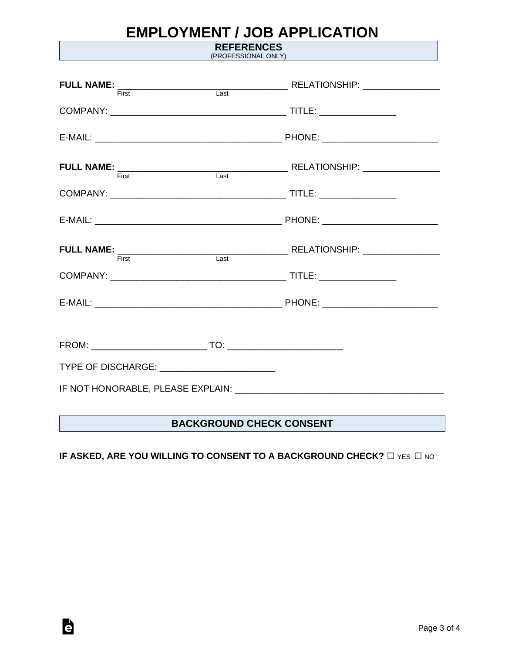**REFERENCES** (PROFESSIONAL ONLY)

| First                                       | $\overline{\mathsf{Last}}$ |  |  |  |
|---------------------------------------------|----------------------------|--|--|--|
|                                             |                            |  |  |  |
|                                             |                            |  |  |  |
|                                             |                            |  |  |  |
|                                             |                            |  |  |  |
|                                             |                            |  |  |  |
|                                             |                            |  |  |  |
|                                             |                            |  |  |  |
| TYPE OF DISCHARGE: ________________________ |                            |  |  |  |
|                                             |                            |  |  |  |

### **BACKGROUND CHECK CONSENT**

### **IF ASKED, ARE YOU WILLING TO CONSENT TO A BACKGROUND CHECK?** □ YES □ NO

Ġ